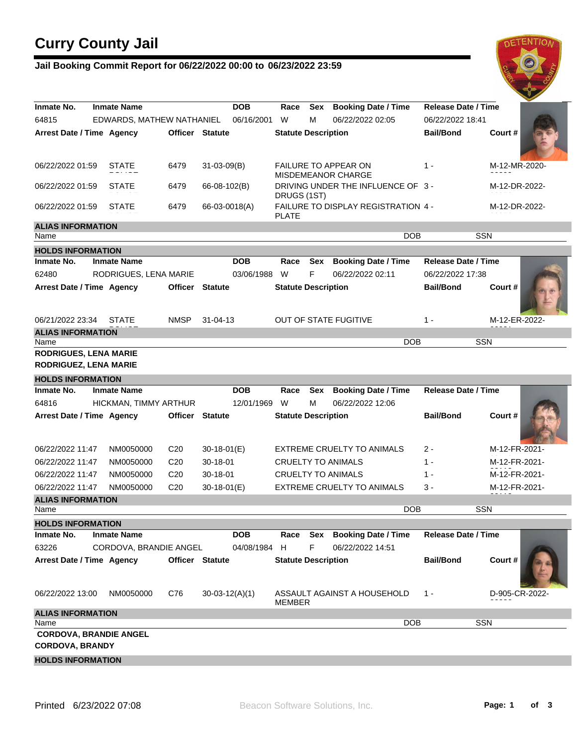# **Curry County Jail**

### **Jail Booking Commit Report for 06/22/2022 00:00 to 06/23/2022 23:59**



| Inmate No.                           | <b>Inmate Name</b>            |                        | <b>DOB</b>             | Race                       | <b>Sex</b> | <b>Booking Date / Time</b>                        | <b>Release Date / Time</b> |                |
|--------------------------------------|-------------------------------|------------------------|------------------------|----------------------------|------------|---------------------------------------------------|----------------------------|----------------|
| 64815                                | EDWARDS, MATHEW NATHANIEL     |                        | 06/16/2001             | W                          | м          | 06/22/2022 02:05                                  | 06/22/2022 18:41           |                |
| Arrest Date / Time Agency            |                               |                        | <b>Officer Statute</b> | <b>Statute Description</b> |            |                                                   | <b>Bail/Bond</b>           | Court #        |
| 06/22/2022 01:59                     | STATE                         | 6479                   | $31 - 03 - 09(B)$      |                            |            | FAILURE TO APPEAR ON<br><b>MISDEMEANOR CHARGE</b> | $1 -$                      | M-12-MR-2020-  |
| 06/22/2022 01:59                     | <b>STATE</b>                  | 6479                   | 66-08-102(B)           | DRUGS (1ST)                |            | DRIVING UNDER THE INFLUENCE OF 3 -                |                            | M-12-DR-2022-  |
| 06/22/2022 01:59                     | <b>STATE</b>                  | 6479                   | 66-03-0018(A)          | <b>PLATE</b>               |            | FAILURE TO DISPLAY REGISTRATION 4 -               |                            | M-12-DR-2022-  |
| <b>ALIAS INFORMATION</b><br>Name     |                               |                        |                        |                            |            | <b>DOB</b>                                        | <b>SSN</b>                 |                |
| <b>HOLDS INFORMATION</b>             |                               |                        |                        |                            |            |                                                   |                            |                |
| Inmate No.                           | <b>Inmate Name</b>            |                        | <b>DOB</b>             | Race                       | Sex        | <b>Booking Date / Time</b>                        | <b>Release Date / Time</b> |                |
| 62480                                | RODRIGUES, LENA MARIE         |                        | 03/06/1988             | W                          | F          | 06/22/2022 02:11                                  | 06/22/2022 17:38           |                |
| Arrest Date / Time Agency            |                               | <b>Officer Statute</b> |                        | <b>Statute Description</b> |            |                                                   | <b>Bail/Bond</b>           | Court#         |
| 06/21/2022 23:34                     | <b>STATE</b>                  | <b>NMSP</b>            | $31 - 04 - 13$         |                            |            | <b>OUT OF STATE FUGITIVE</b>                      | $1 -$                      | M-12-ER-2022-  |
| <b>ALIAS INFORMATION</b>             |                               |                        |                        |                            |            | <b>DOB</b>                                        | <b>SSN</b>                 |                |
| Name<br><b>RODRIGUES, LENA MARIE</b> |                               |                        |                        |                            |            |                                                   |                            |                |
| <b>RODRIGUEZ, LENA MARIE</b>         |                               |                        |                        |                            |            |                                                   |                            |                |
|                                      |                               |                        |                        |                            |            |                                                   |                            |                |
| <b>HOLDS INFORMATION</b>             |                               |                        |                        |                            |            |                                                   |                            |                |
| Inmate No.                           | <b>Inmate Name</b>            |                        | <b>DOB</b>             | Race                       | Sex        | <b>Booking Date / Time</b>                        | <b>Release Date / Time</b> |                |
| 64816                                | HICKMAN, TIMMY ARTHUR         |                        | 12/01/1969             | W                          | м          | 06/22/2022 12:06                                  |                            |                |
| Arrest Date / Time Agency            |                               | <b>Officer Statute</b> |                        | <b>Statute Description</b> |            |                                                   | <b>Bail/Bond</b>           | Court#         |
| 06/22/2022 11:47                     | NM0050000                     | C <sub>20</sub>        | $30-18-01(E)$          |                            |            | <b>EXTREME CRUELTY TO ANIMALS</b>                 | 2 -                        | M-12-FR-2021-  |
| 06/22/2022 11:47                     | NM0050000                     | C <sub>20</sub>        | 30-18-01               |                            |            | <b>CRUELTY TO ANIMALS</b>                         | $1 -$                      | M-12-FR-2021-  |
| 06/22/2022 11:47                     | NM0050000                     | C <sub>20</sub>        | 30-18-01               |                            |            | <b>CRUELTY TO ANIMALS</b>                         | $1 -$                      | M-12-FR-2021-  |
| 06/22/2022 11:47                     | NM0050000                     | C <sub>20</sub>        | $30-18-01(E)$          |                            |            | EXTREME CRUELTY TO ANIMALS                        | 3 -                        | M-12-FR-2021-  |
| <b>ALIAS INFORMATION</b>             |                               |                        |                        |                            |            |                                                   |                            |                |
| Name                                 |                               |                        |                        |                            |            | <b>DOB</b>                                        | <b>SSN</b>                 |                |
| <b>HOLDS INFORMATION</b>             |                               |                        |                        |                            |            |                                                   |                            |                |
| Inmate No.                           | <b>Inmate Name</b>            |                        | <b>DOB</b>             | Race                       | Sex        | <b>Booking Date / Time</b>                        | <b>Release Date / Time</b> |                |
| 63226                                | CORDOVA, BRANDIE ANGEL        |                        | 04/08/1984             | H                          | F          | 06/22/2022 14:51                                  |                            |                |
| Arrest Date / Time Agency            |                               | Officer Statute        |                        | <b>Statute Description</b> |            |                                                   | <b>Bail/Bond</b>           | Court#         |
| 06/22/2022 13:00                     | NM0050000                     | C76                    | $30-03-12(A)(1)$       | <b>MEMBER</b>              |            | ASSAULT AGAINST A HOUSEHOLD                       | $1 -$                      | D-905-CR-2022- |
| <b>ALIAS INFORMATION</b>             |                               |                        |                        |                            |            |                                                   |                            |                |
| Name                                 |                               |                        |                        |                            |            | <b>DOB</b>                                        | <b>SSN</b>                 |                |
| <b>CORDOVA, BRANDY</b>               | <b>CORDOVA, BRANDIE ANGEL</b> |                        |                        |                            |            |                                                   |                            |                |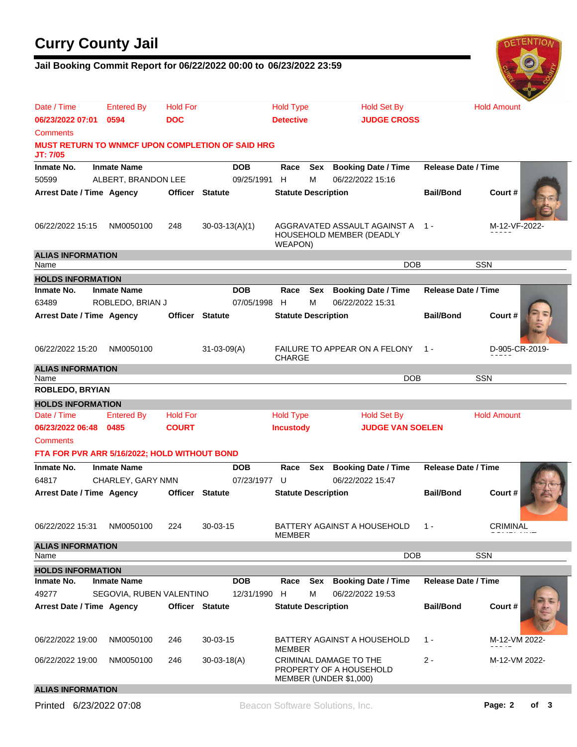## **Curry County Jail**

#### **Jail Booking Commit Report for 06/22/2022 00:00 to 06/23/2022 23:59**